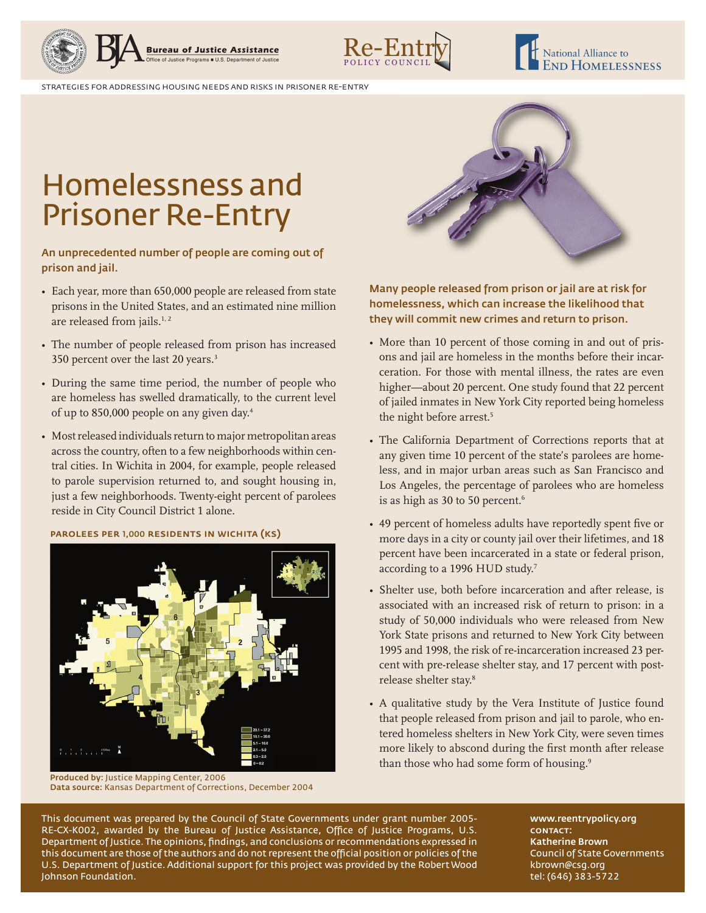



strategies for addressing housing needs and risks in prisoner re-entry

## Homelessness and Prisoner Re-Entry

An unprecedented number of people are coming out of prison and jail.

- Each year, more than 650,000 people are released from state prisons in the United States, and an estimated nine million are released from jails.<sup>1, 2</sup>
- The number of people released from prison has increased 350 percent over the last 20 years.<sup>3</sup>
- During the same time period, the number of people who are homeless has swelled dramatically, to the current level of up to 850,000 people on any given day.4
- Most released individuals return to major metropolitan areas across the country, often to a few neighborhoods within central cities. In Wichita in 2004, for example, people released to parole supervision returned to, and sought housing in, just a few neighborhoods. Twenty-eight percent of parolees reside in City Council District 1 alone.

parolees per 1,000 residents in wichita (ks)



Produced by: Justice Mapping Center, 2006 Data source: Kansas Department of Corrections, December 2004



Many people released from prison or jail are at risk for homelessness, which can increase the likelihood that they will commit new crimes and return to prison.

- More than 10 percent of those coming in and out of prisons and jail are homeless in the months before their incarceration. For those with mental illness, the rates are even higher—about 20 percent. One study found that 22 percent of jailed inmates in New York City reported being homeless the night before arrest.<sup>5</sup>
- The California Department of Corrections reports that at any given time 10 percent of the state's parolees are homeless, and in major urban areas such as San Francisco and Los Angeles, the percentage of parolees who are homeless is as high as 30 to 50 percent.<sup>6</sup>
- 49 percent of homeless adults have reportedly spent five or more days in a city or county jail over their lifetimes, and 18 percent have been incarcerated in a state or federal prison, according to a 1996 HUD study.<sup>7</sup>
- Shelter use, both before incarceration and after release, is associated with an increased risk of return to prison: in a study of 50,000 individuals who were released from New York State prisons and returned to New York City between 1995 and 1998, the risk of re-incarceration increased 23 percent with pre-release shelter stay, and 17 percent with postrelease shelter stay.<sup>8</sup>
- A qualitative study by the Vera Institute of Justice found that people released from prison and jail to parole, who entered homeless shelters in New York City, were seven times more likely to abscond during the first month after release than those who had some form of housing.<sup>9</sup>

This document was prepared by the Council of State Governments under grant number 2005- RE-CX-K002, awarded by the Bureau of Justice Assistance, Office of Justice Programs, U.S. Department of Justice. The opinions, findings, and conclusions or recommendations expressed in this document are those of the authors and do not represent the official position or policies of the U.S. Department of Justice. Additional support for this project was provided by the Robert Wood Johnson Foundation.

www.reentrypolicy.org CONTACT: Katherine Brown Council of State Governments kbrown@csg.org tel: (646) 383-5722